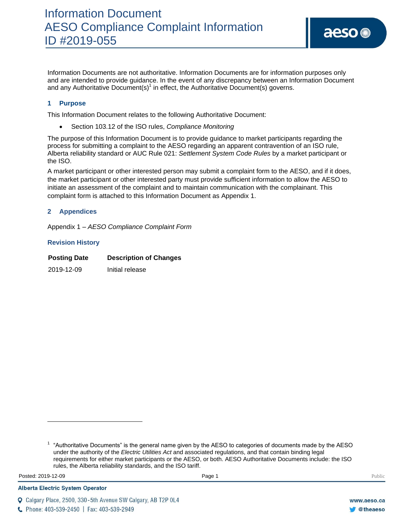Information Documents are not authoritative. Information Documents are for information purposes only and are intended to provide guidance. In the event of any discrepancy between an Information Document and any Authoritative Document(s)<sup>1</sup> in effect, the Authoritative Document(s) governs.

# **1 Purpose**

This Information Document relates to the following Authoritative Document:

Section 103.12 of the ISO rules, *Compliance Monitoring*

The purpose of this Information Document is to provide guidance to market participants regarding the process for submitting a complaint to the AESO regarding an apparent contravention of an ISO rule, Alberta reliability standard or AUC Rule 021: *Settlement System Code Rules* by a market participant or the ISO.

A market participant or other interested person may submit a complaint form to the AESO, and if it does, the market participant or other interested party must provide sufficient information to allow the AESO to initiate an assessment of the complaint and to maintain communication with the complainant. This complaint form is attached to this Information Document as Appendix 1.

### **2 Appendices**

Appendix 1 – *AESO Compliance Complaint Form*

#### **Revision History**

| <b>Posting Date</b> | <b>Description of Changes</b> |
|---------------------|-------------------------------|
| 2019-12-09          | Initial release               |

Posted: 2019-12-09 Page 1 Public Posted: 2019-12-09 Public Public Public Public Public Public Public Public Public Public Public Public Public Public Public Public Public Public Public Public Public Public Public Public Pu

 $\overline{\phantom{a}}$ 

**Alberta Electric System Operator** 

 $1$  "Authoritative Documents" is the general name given by the AESO to categories of documents made by the AESO under the authority of the *Electric Utilities Act* and associated regulations, and that contain binding legal requirements for either market participants or the AESO, or both. AESO Authoritative Documents include: the ISO rules, the Alberta reliability standards, and the ISO tariff.

Q Calgary Place, 2500, 330-5th Avenue SW Calgary, AB T2P 0L4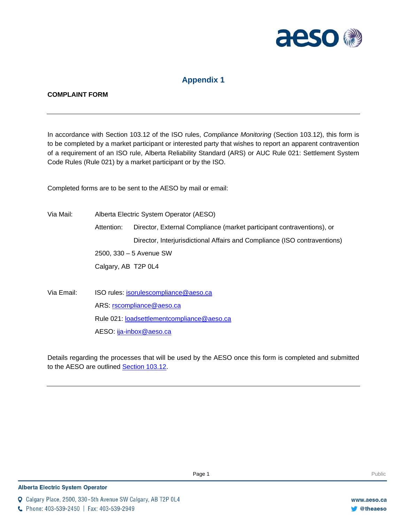

# **Appendix 1**

### **COMPLAINT FORM**

In accordance with Section 103.12 of the ISO rules, *Compliance Monitoring* (Section 103.12), this form is to be completed by a market participant or interested party that wishes to report an apparent contravention of a requirement of an ISO rule, Alberta Reliability Standard (ARS) or AUC Rule 021: Settlement System Code Rules (Rule 021) by a market participant or by the ISO.

Completed forms are to be sent to the AESO by mail or email:

Via Mail: Alberta Electric System Operator (AESO) Attention: Director, External Compliance (market participant contraventions), or Director, Interjurisdictional Affairs and Compliance (ISO contraventions) 2500, 330 – 5 Avenue SW Calgary, AB T2P 0L4 Via Email: ISO rules: [isorulescompliance@aeso.ca](mailto:isorulescompliance@aeso.ca) ARS: [rscompliance@aeso.ca](mailto:rscompliance@aeso.ca) Rule 021: [loadsettlementcompliance@aeso.ca](mailto:loadsettlementcompliance@aeso.ca)

AESO: [ija-inbox@aeso.ca](mailto:ija-inbox@aeso.ca)

Details regarding the processes that will be used by the AESO once this form is completed and submitted to the AESO are outlined [Section 103.12.](http://www.aeso.ca/rulesprocedures/18592.html)

C Phone: 403-539-2450 | Fax: 403-539-2949

Q Calgary Place, 2500, 330-5th Avenue SW Calgary, AB T2P 0L4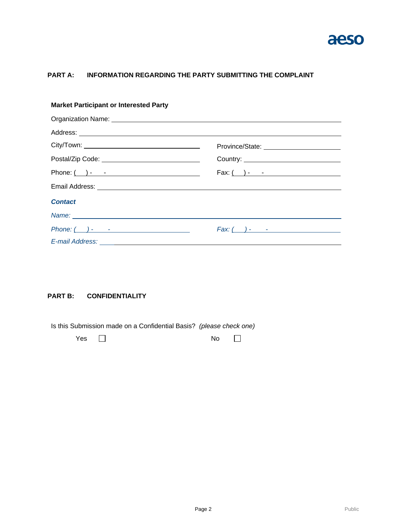

# **PART A: INFORMATION REGARDING THE PARTY SUBMITTING THE COMPLAINT**

| <b>Market Participant or Interested Party</b>                                                                                                                                                                                 |                                           |  |  |  |
|-------------------------------------------------------------------------------------------------------------------------------------------------------------------------------------------------------------------------------|-------------------------------------------|--|--|--|
| Organization Name: 1988 Contract Contract Contract Contract Contract Contract Contract Contract Contract Contract Contract Contract Contract Contract Contract Contract Contract Contract Contract Contract Contract Contract |                                           |  |  |  |
|                                                                                                                                                                                                                               |                                           |  |  |  |
|                                                                                                                                                                                                                               | Province/State: _________________________ |  |  |  |
|                                                                                                                                                                                                                               |                                           |  |  |  |
|                                                                                                                                                                                                                               | $Fax: ( ) - - -$                          |  |  |  |
|                                                                                                                                                                                                                               |                                           |  |  |  |
| <b>Contact</b>                                                                                                                                                                                                                |                                           |  |  |  |
|                                                                                                                                                                                                                               |                                           |  |  |  |
|                                                                                                                                                                                                                               |                                           |  |  |  |
|                                                                                                                                                                                                                               |                                           |  |  |  |

# **PART B: CONFIDENTIALITY**

Is this Submission made on a Confidential Basis? *(please check one)*

| Yes $\Box$ |  | No | $\sim$ 10 $\sim$ |
|------------|--|----|------------------|
|            |  |    |                  |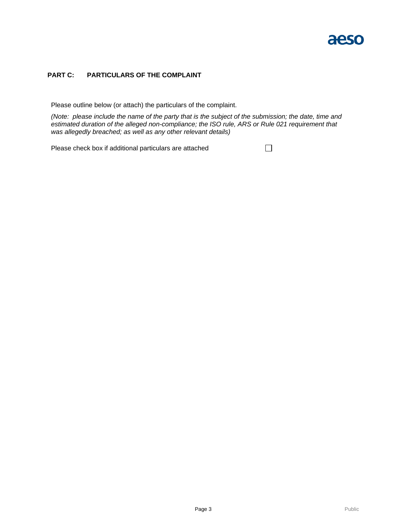# aeso

### **PART C: PARTICULARS OF THE COMPLAINT**

Please outline below (or attach) the particulars of the complaint.

*(Note: please include the name of the party that is the subject of the submission; the date, time and estimated duration of the alleged non-compliance; the ISO rule, ARS or Rule 021 requirement that was allegedly breached; as well as any other relevant details)*

 $\Box$ 

Please check box if additional particulars are attached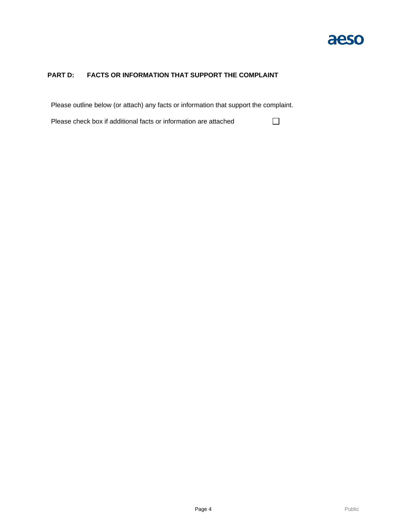

 $\Box$ 

# **PART D: FACTS OR INFORMATION THAT SUPPORT THE COMPLAINT**

Please outline below (or attach) any facts or information that support the complaint.

Please check box if additional facts or information are attached